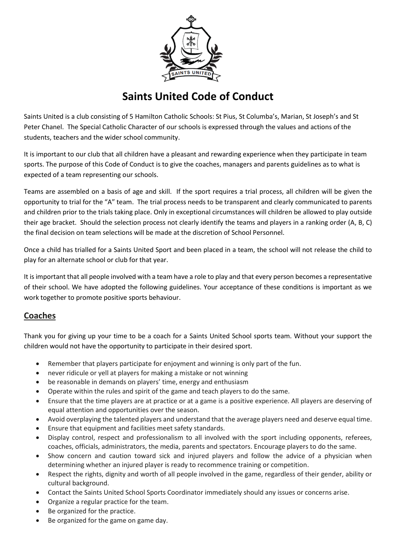

## **Saints United Code of Conduct**

Saints United is a club consisting of 5 Hamilton Catholic Schools: St Pius, St Columba's, Marian, St Joseph's and St Peter Chanel. The Special Catholic Character of our schools is expressed through the values and actions of the students, teachers and the wider school community.

It is important to our club that all children have a pleasant and rewarding experience when they participate in team sports. The purpose of this Code of Conduct is to give the coaches, managers and parents guidelines as to what is expected of a team representing our schools.

Teams are assembled on a basis of age and skill. If the sport requires a trial process, all children will be given the opportunity to trial for the "A" team. The trial process needs to be transparent and clearly communicated to parents and children prior to the trials taking place. Only in exceptional circumstances will children be allowed to play outside their age bracket. Should the selection process not clearly identify the teams and players in a ranking order (A, B, C) the final decision on team selections will be made at the discretion of School Personnel.

Once a child has trialled for a Saints United Sport and been placed in a team, the school will not release the child to play for an alternate school or club for that year.

It is important that all people involved with a team have a role to play and that every person becomes a representative of their school. We have adopted the following guidelines. Your acceptance of these conditions is important as we work together to promote positive sports behaviour.

#### **Coaches**

Thank you for giving up your time to be a coach for a Saints United School sports team. Without your support the children would not have the opportunity to participate in their desired sport.

- Remember that players participate for enjoyment and winning is only part of the fun.
- never ridicule or yell at players for making a mistake or not winning
- be reasonable in demands on players' time, energy and enthusiasm
- Operate within the rules and spirit of the game and teach players to do the same.
- Ensure that the time players are at practice or at a game is a positive experience. All players are deserving of equal attention and opportunities over the season.
- Avoid overplaying the talented players and understand that the average players need and deserve equal time.
- Ensure that equipment and facilities meet safety standards.
- Display control, respect and professionalism to all involved with the sport including opponents, referees, coaches, officials, administrators, the media, parents and spectators. Encourage players to do the same.
- Show concern and caution toward sick and injured players and follow the advice of a physician when determining whether an injured player is ready to recommence training or competition.
- Respect the rights, dignity and worth of all people involved in the game, regardless of their gender, ability or cultural background.
- Contact the Saints United School Sports Coordinator immediately should any issues or concerns arise.
- Organize a regular practice for the team.
- Be organized for the practice.
- Be organized for the game on game day.